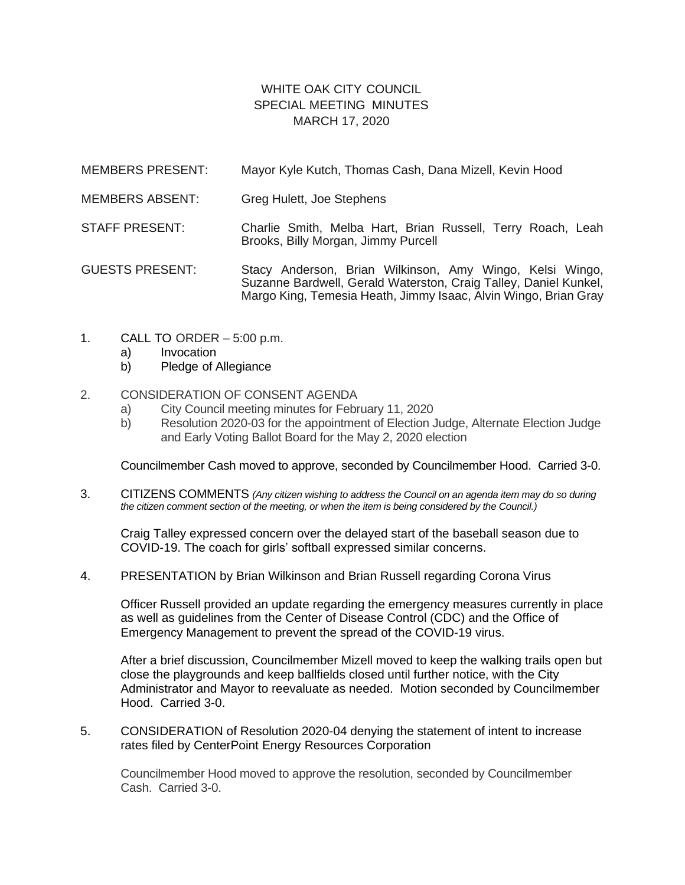## WHITE OAK CITY COUNCIL SPECIAL MEETING MINUTES MARCH 17, 2020

- MEMBERS PRESENT: Mayor Kyle Kutch, Thomas Cash, Dana Mizell, Kevin Hood
- MEMBERS ABSENT: Greg Hulett, Joe Stephens
- STAFF PRESENT: Charlie Smith, Melba Hart, Brian Russell, Terry Roach, Leah Brooks, Billy Morgan, Jimmy Purcell

GUESTS PRESENT: Stacy Anderson, Brian Wilkinson, Amy Wingo, Kelsi Wingo, Suzanne Bardwell, Gerald Waterston, Craig Talley, Daniel Kunkel. Margo King, Temesia Heath, Jimmy Isaac, Alvin Wingo, Brian Gray

- 1. CALL TO ORDER 5:00 p.m.
	- a) Invocation
	- b) Pledge of Allegiance
- 2. CONSIDERATION OF CONSENT AGENDA
	- a) City Council meeting minutes for February 11, 2020
	- b) Resolution 2020-03 for the appointment of Election Judge, Alternate Election Judge and Early Voting Ballot Board for the May 2, 2020 election

Councilmember Cash moved to approve, seconded by Councilmember Hood. Carried 3-0.

3. CITIZENS COMMENTS *(Any citizen wishing to address the Council on an agenda item may do so during the citizen comment section of the meeting, or when the item is being considered by the Council.)*

Craig Talley expressed concern over the delayed start of the baseball season due to COVID-19. The coach for girls' softball expressed similar concerns.

4. PRESENTATION by Brian Wilkinson and Brian Russell regarding Corona Virus

Officer Russell provided an update regarding the emergency measures currently in place as well as guidelines from the Center of Disease Control (CDC) and the Office of Emergency Management to prevent the spread of the COVID-19 virus.

After a brief discussion, Councilmember Mizell moved to keep the walking trails open but close the playgrounds and keep ballfields closed until further notice, with the City Administrator and Mayor to reevaluate as needed. Motion seconded by Councilmember Hood. Carried 3-0.

5. CONSIDERATION of Resolution 2020-04 denying the statement of intent to increase rates filed by CenterPoint Energy Resources Corporation

Councilmember Hood moved to approve the resolution, seconded by Councilmember Cash. Carried 3-0.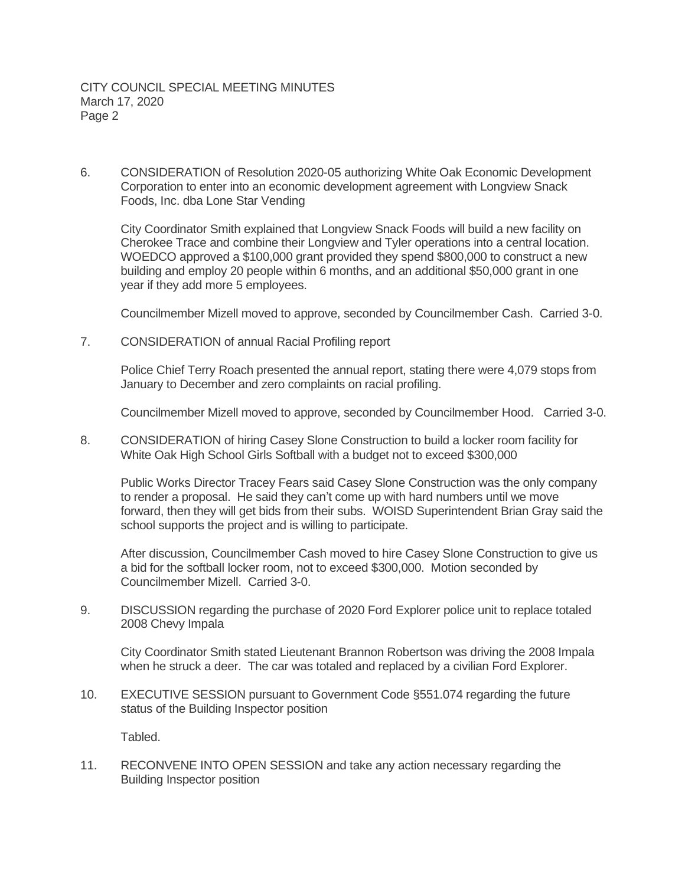6. CONSIDERATION of Resolution 2020-05 authorizing White Oak Economic Development Corporation to enter into an economic development agreement with Longview Snack Foods, Inc. dba Lone Star Vending

City Coordinator Smith explained that Longview Snack Foods will build a new facility on Cherokee Trace and combine their Longview and Tyler operations into a central location. WOEDCO approved a \$100,000 grant provided they spend \$800,000 to construct a new building and employ 20 people within 6 months, and an additional \$50,000 grant in one year if they add more 5 employees.

Councilmember Mizell moved to approve, seconded by Councilmember Cash. Carried 3-0.

7. CONSIDERATION of annual Racial Profiling report

Police Chief Terry Roach presented the annual report, stating there were 4,079 stops from January to December and zero complaints on racial profiling.

Councilmember Mizell moved to approve, seconded by Councilmember Hood. Carried 3-0.

8. CONSIDERATION of hiring Casey Slone Construction to build a locker room facility for White Oak High School Girls Softball with a budget not to exceed \$300,000

Public Works Director Tracey Fears said Casey Slone Construction was the only company to render a proposal. He said they can't come up with hard numbers until we move forward, then they will get bids from their subs. WOISD Superintendent Brian Gray said the school supports the project and is willing to participate.

After discussion, Councilmember Cash moved to hire Casey Slone Construction to give us a bid for the softball locker room, not to exceed \$300,000. Motion seconded by Councilmember Mizell. Carried 3-0.

9. DISCUSSION regarding the purchase of 2020 Ford Explorer police unit to replace totaled 2008 Chevy Impala

City Coordinator Smith stated Lieutenant Brannon Robertson was driving the 2008 Impala when he struck a deer. The car was totaled and replaced by a civilian Ford Explorer.

10. EXECUTIVE SESSION pursuant to Government Code §551.074 regarding the future status of the Building Inspector position

Tabled.

11. RECONVENE INTO OPEN SESSION and take any action necessary regarding the Building Inspector position